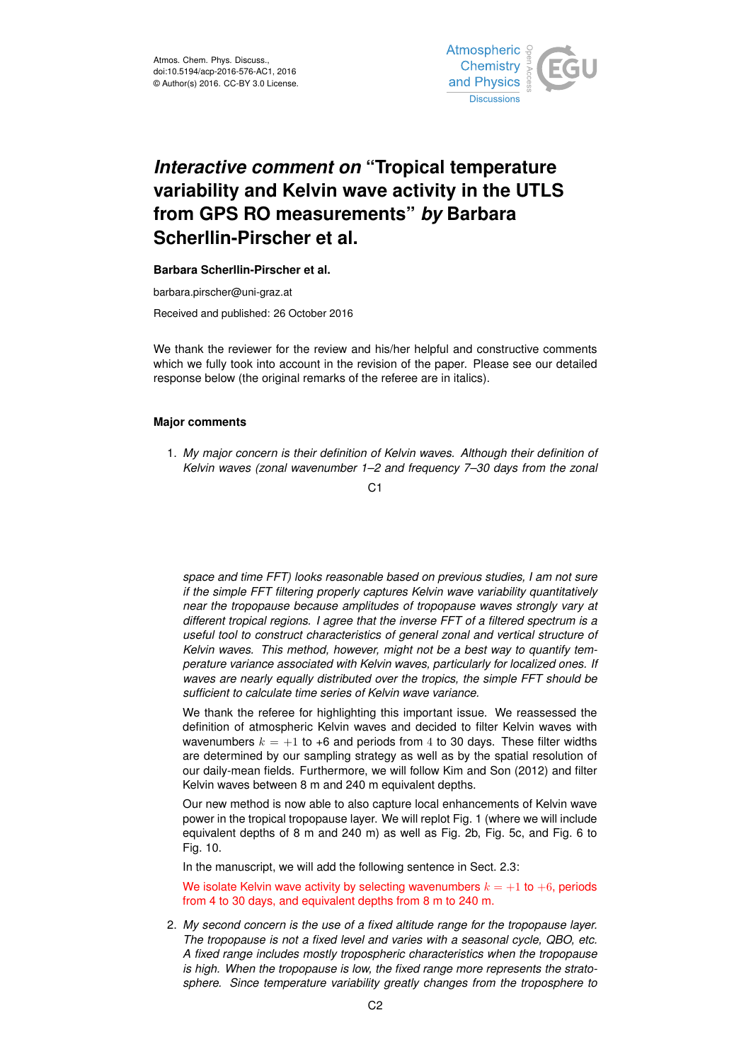

# *Interactive comment on* **"Tropical temperature variability and Kelvin wave activity in the UTLS from GPS RO measurements"** *by* **Barbara Scherllin-Pirscher et al.**

#### **Barbara Scherllin-Pirscher et al.**

barbara.pirscher@uni-graz.at

Received and published: 26 October 2016

We thank the reviewer for the review and his/her helpful and constructive comments which we fully took into account in the revision of the paper. Please see our detailed response below (the original remarks of the referee are in italics).

### **Major comments**

1. *My major concern is their definition of Kelvin waves. Although their definition of Kelvin waves (zonal wavenumber 1–2 and frequency 7–30 days from the zonal*

C1

*space and time FFT) looks reasonable based on previous studies, I am not sure if the simple FFT filtering properly captures Kelvin wave variability quantitatively near the tropopause because amplitudes of tropopause waves strongly vary at different tropical regions. I agree that the inverse FFT of a filtered spectrum is a useful tool to construct characteristics of general zonal and vertical structure of Kelvin waves. This method, however, might not be a best way to quantify temperature variance associated with Kelvin waves, particularly for localized ones. If waves are nearly equally distributed over the tropics, the simple FFT should be sufficient to calculate time series of Kelvin wave variance.*

We thank the referee for highlighting this important issue. We reassessed the definition of atmospheric Kelvin waves and decided to filter Kelvin waves with wavenumbers  $k = +1$  to  $+6$  and periods from 4 to 30 days. These filter widths are determined by our sampling strategy as well as by the spatial resolution of our daily-mean fields. Furthermore, we will follow Kim and Son (2012) and filter Kelvin waves between 8 m and 240 m equivalent depths.

Our new method is now able to also capture local enhancements of Kelvin wave power in the tropical tropopause layer. We will replot Fig. 1 (where we will include equivalent depths of 8 m and 240 m) as well as Fig. 2b, Fig. 5c, and Fig. 6 to Fig. 10.

In the manuscript, we will add the following sentence in Sect. 2.3:

We isolate Kelvin wave activity by selecting wavenumbers  $k = +1$  to  $+6$ , periods from 4 to 30 days, and equivalent depths from 8 m to 240 m.

2. *My second concern is the use of a fixed altitude range for the tropopause layer. The tropopause is not a fixed level and varies with a seasonal cycle, QBO, etc. A fixed range includes mostly tropospheric characteristics when the tropopause is high. When the tropopause is low, the fixed range more represents the stratosphere. Since temperature variability greatly changes from the troposphere to*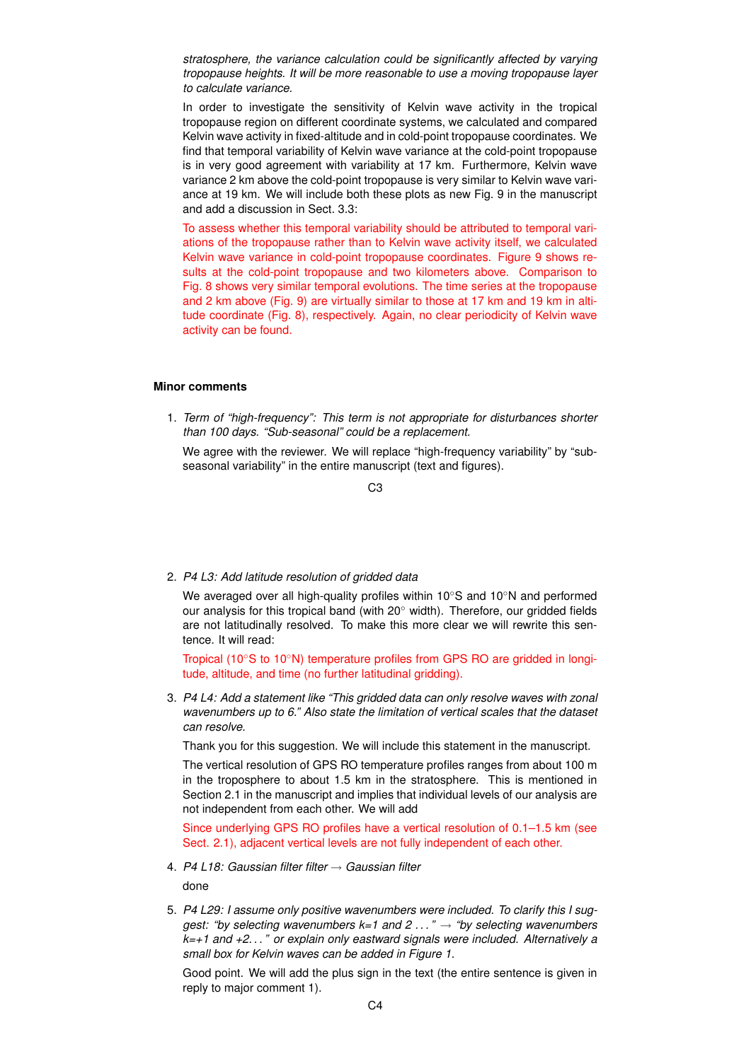*stratosphere, the variance calculation could be significantly affected by varying tropopause heights. It will be more reasonable to use a moving tropopause layer to calculate variance.*

In order to investigate the sensitivity of Kelvin wave activity in the tropical tropopause region on different coordinate systems, we calculated and compared Kelvin wave activity in fixed-altitude and in cold-point tropopause coordinates. We find that temporal variability of Kelvin wave variance at the cold-point tropopause is in very good agreement with variability at 17 km. Furthermore, Kelvin wave variance 2 km above the cold-point tropopause is very similar to Kelvin wave variance at 19 km. We will include both these plots as new Fig. 9 in the manuscript and add a discussion in Sect. 3.3:

To assess whether this temporal variability should be attributed to temporal variations of the tropopause rather than to Kelvin wave activity itself, we calculated Kelvin wave variance in cold-point tropopause coordinates. Figure 9 shows results at the cold-point tropopause and two kilometers above. Comparison to Fig. 8 shows very similar temporal evolutions. The time series at the tropopause and 2 km above (Fig. 9) are virtually similar to those at 17 km and 19 km in altitude coordinate (Fig. 8), respectively. Again, no clear periodicity of Kelvin wave activity can be found.

### **Minor comments**

1. *Term of "high-frequency": This term is not appropriate for disturbances shorter than 100 days. "Sub-seasonal" could be a replacement.*

We agree with the reviewer. We will replace "high-frequency variability" by "subseasonal variability" in the entire manuscript (text and figures).

C3

#### 2. *P4 L3: Add latitude resolution of gridded data*

We averaged over all high-quality profiles within 10°S and 10°N and performed our analysis for this tropical band (with 20◦ width). Therefore, our gridded fields are not latitudinally resolved. To make this more clear we will rewrite this sentence. It will read:

Tropical (10◦S to 10◦N) temperature profiles from GPS RO are gridded in longitude, altitude, and time (no further latitudinal gridding).

3. *P4 L4: Add a statement like "This gridded data can only resolve waves with zonal wavenumbers up to 6." Also state the limitation of vertical scales that the dataset can resolve.*

Thank you for this suggestion. We will include this statement in the manuscript.

The vertical resolution of GPS RO temperature profiles ranges from about 100 m in the troposphere to about 1.5 km in the stratosphere. This is mentioned in Section 2.1 in the manuscript and implies that individual levels of our analysis are not independent from each other. We will add

Since underlying GPS RO profiles have a vertical resolution of 0.1–1.5 km (see Sect. 2.1), adjacent vertical levels are not fully independent of each other.

4. *P4 L18: Gaussian filter filter* → *Gaussian filter*

done

5. *P4 L29: I assume only positive wavenumbers were included. To clarify this I suggest: "by selecting wavenumbers k=1 and 2 . . . "* → *"by selecting wavenumbers k=+1 and +2. . . " or explain only eastward signals were included. Alternatively a small box for Kelvin waves can be added in Figure 1.*

Good point. We will add the plus sign in the text (the entire sentence is given in reply to major comment 1).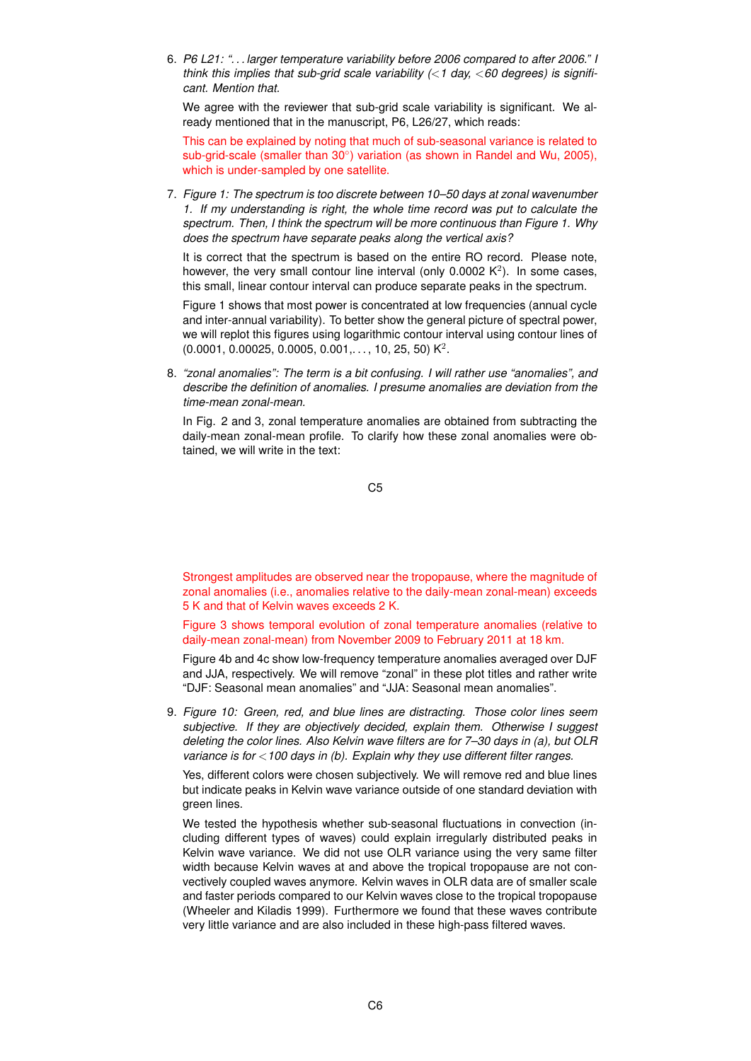6. *P6 L21: ". . . larger temperature variability before 2006 compared to after 2006." I think this implies that sub-grid scale variability (*<*1 day,* <*60 degrees) is significant. Mention that.*

We agree with the reviewer that sub-grid scale variability is significant. We already mentioned that in the manuscript, P6, L26/27, which reads:

This can be explained by noting that much of sub-seasonal variance is related to sub-grid-scale (smaller than 30°) variation (as shown in Randel and Wu, 2005), which is under-sampled by one satellite.

7. *Figure 1: The spectrum is too discrete between 10–50 days at zonal wavenumber 1. If my understanding is right, the whole time record was put to calculate the spectrum. Then, I think the spectrum will be more continuous than Figure 1. Why does the spectrum have separate peaks along the vertical axis?*

It is correct that the spectrum is based on the entire RO record. Please note, however, the very small contour line interval (only 0.0002  $\mathsf{K}^2$ ). In some cases, this small, linear contour interval can produce separate peaks in the spectrum.

Figure 1 shows that most power is concentrated at low frequencies (annual cycle and inter-annual variability). To better show the general picture of spectral power, we will replot this figures using logarithmic contour interval using contour lines of  $(0.0001, 0.00025, 0.0005, 0.001,..., 10, 25, 50)$  K<sup>2</sup>.

8. *"zonal anomalies": The term is a bit confusing. I will rather use "anomalies", and describe the definition of anomalies. I presume anomalies are deviation from the time-mean zonal-mean.*

In Fig. 2 and 3, zonal temperature anomalies are obtained from subtracting the daily-mean zonal-mean profile. To clarify how these zonal anomalies were obtained, we will write in the text:

C5

Strongest amplitudes are observed near the tropopause, where the magnitude of zonal anomalies (i.e., anomalies relative to the daily-mean zonal-mean) exceeds 5 K and that of Kelvin waves exceeds 2 K.

Figure 3 shows temporal evolution of zonal temperature anomalies (relative to daily-mean zonal-mean) from November 2009 to February 2011 at 18 km.

Figure 4b and 4c show low-frequency temperature anomalies averaged over DJF and JJA, respectively. We will remove "zonal" in these plot titles and rather write "DJF: Seasonal mean anomalies" and "JJA: Seasonal mean anomalies".

9. *Figure 10: Green, red, and blue lines are distracting. Those color lines seem subjective. If they are objectively decided, explain them. Otherwise I suggest deleting the color lines. Also Kelvin wave filters are for 7–30 days in (a), but OLR variance is for* <*100 days in (b). Explain why they use different filter ranges.*

Yes, different colors were chosen subjectively. We will remove red and blue lines but indicate peaks in Kelvin wave variance outside of one standard deviation with green lines.

We tested the hypothesis whether sub-seasonal fluctuations in convection (including different types of waves) could explain irregularly distributed peaks in Kelvin wave variance. We did not use OLR variance using the very same filter width because Kelvin waves at and above the tropical tropopause are not convectively coupled waves anymore. Kelvin waves in OLR data are of smaller scale and faster periods compared to our Kelvin waves close to the tropical tropopause (Wheeler and Kiladis 1999). Furthermore we found that these waves contribute very little variance and are also included in these high-pass filtered waves.